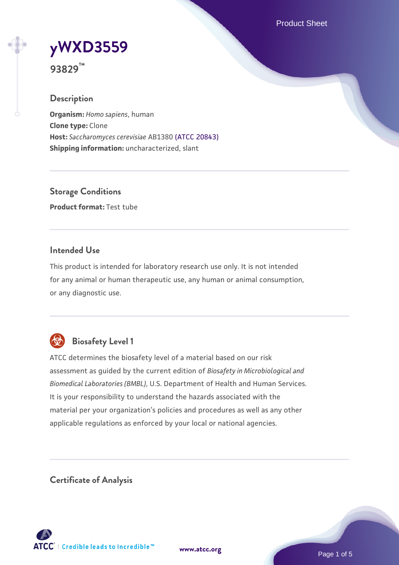Product Sheet



**93829™**

#### **Description**

**Organism:** *Homo sapiens*, human **Clone type:** Clone **Host:** *Saccharomyces cerevisiae* AB1380 [\(ATCC 20843\)](https://www.atcc.org/products/20843) **Shipping information:** uncharacterized, slant

**Storage Conditions Product format:** Test tube

#### **Intended Use**

This product is intended for laboratory research use only. It is not intended for any animal or human therapeutic use, any human or animal consumption, or any diagnostic use.



## **Biosafety Level 1**

ATCC determines the biosafety level of a material based on our risk assessment as guided by the current edition of *Biosafety in Microbiological and Biomedical Laboratories (BMBL)*, U.S. Department of Health and Human Services. It is your responsibility to understand the hazards associated with the material per your organization's policies and procedures as well as any other applicable regulations as enforced by your local or national agencies.

**Certificate of Analysis**

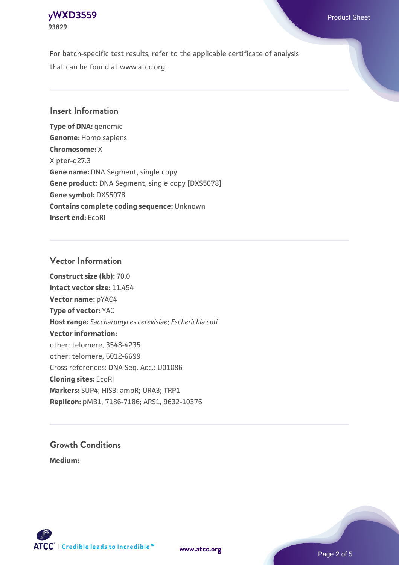## **[yWXD3559](https://www.atcc.org/products/93829)** Product Sheet **93829**

For batch-specific test results, refer to the applicable certificate of analysis that can be found at www.atcc.org.

### **Insert Information**

**Type of DNA:** genomic **Genome:** Homo sapiens **Chromosome:** X X pter-q27.3 **Gene name:** DNA Segment, single copy **Gene product:** DNA Segment, single copy [DXS5078] **Gene symbol:** DXS5078 **Contains complete coding sequence:** Unknown **Insert end:** EcoRI

#### **Vector Information**

**Construct size (kb):** 70.0 **Intact vector size:** 11.454 **Vector name:** pYAC4 **Type of vector:** YAC **Host range:** *Saccharomyces cerevisiae*; *Escherichia coli* **Vector information:** other: telomere, 3548-4235 other: telomere, 6012-6699 Cross references: DNA Seq. Acc.: U01086 **Cloning sites:** EcoRI **Markers:** SUP4; HIS3; ampR; URA3; TRP1 **Replicon:** pMB1, 7186-7186; ARS1, 9632-10376

# **Growth Conditions**

**Medium:** 



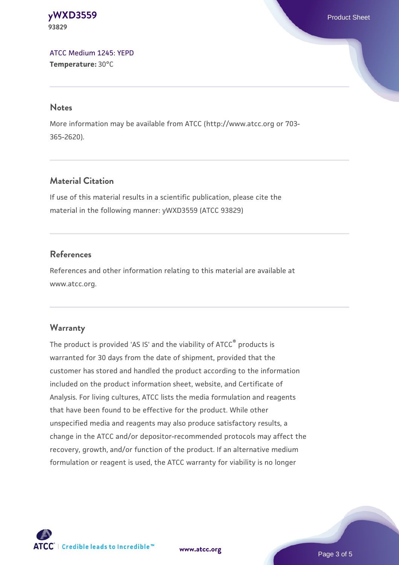**[yWXD3559](https://www.atcc.org/products/93829)** Product Sheet **93829**

[ATCC Medium 1245: YEPD](https://www.atcc.org/-/media/product-assets/documents/microbial-media-formulations/1/2/4/5/atcc-medium-1245.pdf?rev=705ca55d1b6f490a808a965d5c072196) **Temperature:** 30°C

#### **Notes**

More information may be available from ATCC (http://www.atcc.org or 703- 365-2620).

#### **Material Citation**

If use of this material results in a scientific publication, please cite the material in the following manner: yWXD3559 (ATCC 93829)

#### **References**

References and other information relating to this material are available at www.atcc.org.

#### **Warranty**

The product is provided 'AS IS' and the viability of ATCC® products is warranted for 30 days from the date of shipment, provided that the customer has stored and handled the product according to the information included on the product information sheet, website, and Certificate of Analysis. For living cultures, ATCC lists the media formulation and reagents that have been found to be effective for the product. While other unspecified media and reagents may also produce satisfactory results, a change in the ATCC and/or depositor-recommended protocols may affect the recovery, growth, and/or function of the product. If an alternative medium formulation or reagent is used, the ATCC warranty for viability is no longer



**[www.atcc.org](http://www.atcc.org)**

Page 3 of 5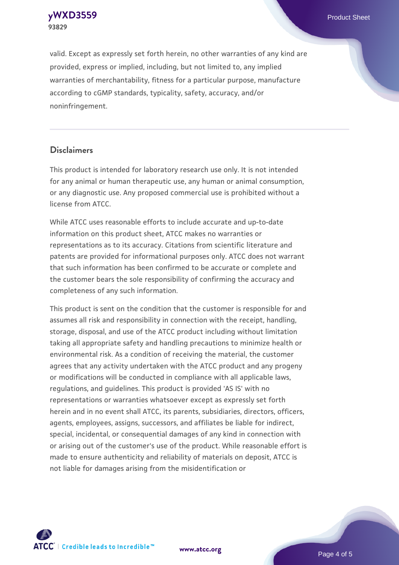**[yWXD3559](https://www.atcc.org/products/93829)** Product Sheet **93829**

valid. Except as expressly set forth herein, no other warranties of any kind are provided, express or implied, including, but not limited to, any implied warranties of merchantability, fitness for a particular purpose, manufacture according to cGMP standards, typicality, safety, accuracy, and/or noninfringement.

#### **Disclaimers**

This product is intended for laboratory research use only. It is not intended for any animal or human therapeutic use, any human or animal consumption, or any diagnostic use. Any proposed commercial use is prohibited without a license from ATCC.

While ATCC uses reasonable efforts to include accurate and up-to-date information on this product sheet, ATCC makes no warranties or representations as to its accuracy. Citations from scientific literature and patents are provided for informational purposes only. ATCC does not warrant that such information has been confirmed to be accurate or complete and the customer bears the sole responsibility of confirming the accuracy and completeness of any such information.

This product is sent on the condition that the customer is responsible for and assumes all risk and responsibility in connection with the receipt, handling, storage, disposal, and use of the ATCC product including without limitation taking all appropriate safety and handling precautions to minimize health or environmental risk. As a condition of receiving the material, the customer agrees that any activity undertaken with the ATCC product and any progeny or modifications will be conducted in compliance with all applicable laws, regulations, and guidelines. This product is provided 'AS IS' with no representations or warranties whatsoever except as expressly set forth herein and in no event shall ATCC, its parents, subsidiaries, directors, officers, agents, employees, assigns, successors, and affiliates be liable for indirect, special, incidental, or consequential damages of any kind in connection with or arising out of the customer's use of the product. While reasonable effort is made to ensure authenticity and reliability of materials on deposit, ATCC is not liable for damages arising from the misidentification or



**[www.atcc.org](http://www.atcc.org)**

Page 4 of 5